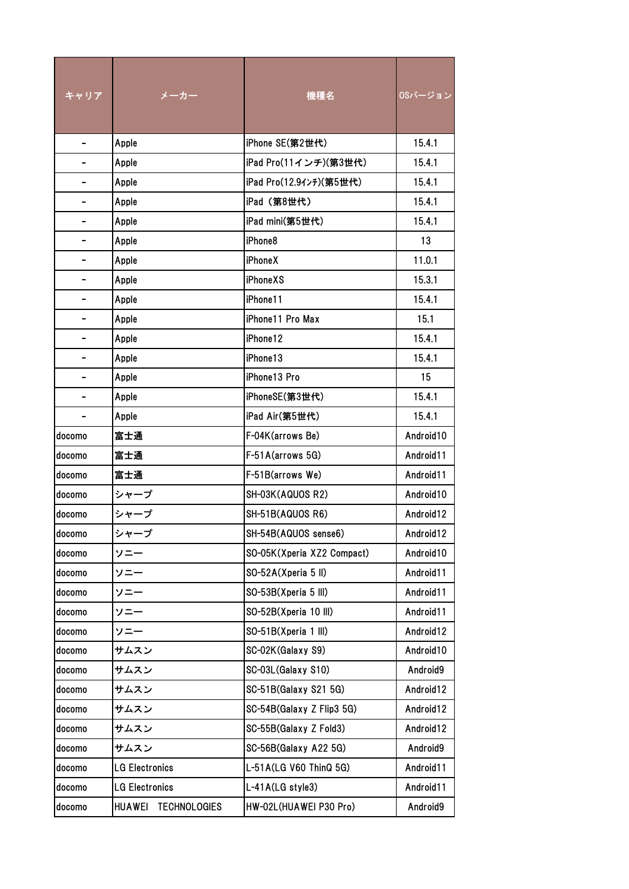| キャリア           | メーカー                                 | 機種名                        | OSバージョン   |
|----------------|--------------------------------------|----------------------------|-----------|
|                | Apple                                | iPhone SE(第2世代)            | 15.4.1    |
| $\blacksquare$ | Apple                                | iPad Pro(11インチ)(第3世代)      | 15.4.1    |
|                | Apple                                | iPad Pro(12.9インチ)(第5世代)    | 15.4.1    |
|                | Apple                                | iPad (第8世代)                | 15.4.1    |
|                | Apple                                | iPad mini(第5世代)            | 15.4.1    |
|                | Apple                                | iPhone8                    | 13        |
|                | Apple                                | <b>iPhoneX</b>             | 11.0.1    |
|                | Apple                                | <b>iPhoneXS</b>            | 15.3.1    |
|                | Apple                                | iPhone11                   | 15.4.1    |
|                | Apple                                | iPhone11 Pro Max           | 15.1      |
|                | Apple                                | iPhone12                   | 15.4.1    |
|                | Apple                                | iPhone13                   | 15.4.1    |
|                | Apple                                | iPhone13 Pro               | 15        |
|                | Apple                                | iPhoneSE(第3世代)             | 15.4.1    |
|                | Apple                                | iPad Air(第5世代)             | 15.4.1    |
| docomo         | 富士通                                  | F-04K(arrows Be)           | Android10 |
| docomo         | 富士通                                  | F-51A(arrows 5G)           | Android11 |
| docomo         | 富士通                                  | F-51B(arrows We)           | Android11 |
| docomo         | シャープ                                 | SH-03K(AQUOS R2)           | Android10 |
| docomo         | シャープ                                 | SH-51B(AQUOS R6)           | Android12 |
| docomo         | シャープ                                 | SH-54B(AQUOS sense6)       | Android12 |
| docomo         | ソニー                                  | SO-05K(Xperia XZ2 Compact) | Android10 |
| docomo         | ソニー                                  | SO-52A(Xperia 5 II)        | Android11 |
| docomo         | ソニー                                  | SO-53B(Xperia 5 III)       | Android11 |
| docomo         | ソニー                                  | SO-52B(Xperia 10 III)      | Android11 |
| docomo         | ソニー                                  | SO-51B(Xperia 1 III)       | Android12 |
| docomo         | サムスン                                 | SC-02K(Galaxy S9)          | Android10 |
| docomo         | サムスン                                 | SC-03L(Galaxy S10)         | Android9  |
| docomo         | サムスン                                 | SC-51B(Galaxy S21 5G)      | Android12 |
| docomo         | サムスン                                 | SC-54B(Galaxy Z Flip3 5G)  | Android12 |
| docomo         | サムスン                                 | SC-55B(Galaxy Z Fold3)     | Android12 |
| docomo         | サムスン                                 | SC-56B(Galaxy A22 5G)      | Android9  |
| docomo         | <b>LG Electronics</b>                | L-51A(LG V60 ThinQ 5G)     | Android11 |
| docomo         | <b>LG Electronics</b>                | L-41A(LG style3)           | Android11 |
| docomo         | <b>HUAWEI</b><br><b>TECHNOLOGIES</b> | HW-02L(HUAWEI P30 Pro)     | Android9  |